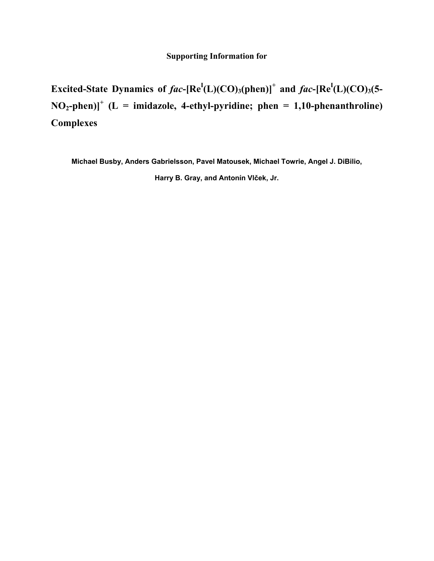**Supporting Information for** 

**Excited-State Dynamics of**  $fac$ **-[Re<sup>I</sup>(L)(CO)<sub>3</sub>(phen)]<sup>+</sup> and**  $fac$ **-[Re<sup>I</sup>(L)(CO)<sub>3</sub>(5-** $NO<sub>2</sub>-phen$ ]<sup>+</sup> (L = imidazole, 4-ethyl-pyridine; phen = 1,10-phenanthroline) **Complexes** 

**Michael Busby, Anders Gabrielsson, Pavel Matousek, Michael Towrie, Angel J. DiBilio,** 

**Harry B. Gray, and Antonín Vlček, Jr.**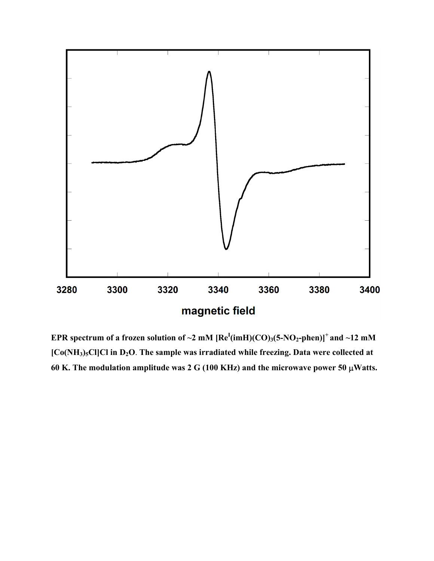

EPR spectrum of a frozen solution of ~2 mM  $[{\rm Re}^{\rm I}(\text{imH})(\text{CO})_{3}$ (5-NO<sub>2</sub>-phen)]<sup>+</sup> and ~12 mM **[Co(NH3)5Cl]Cl in D2O**. **The sample was irradiated while freezing. Data were collected at 60 K. The modulation amplitude was 2 G (100 KHz) and the microwave power 50** µ**Watts.**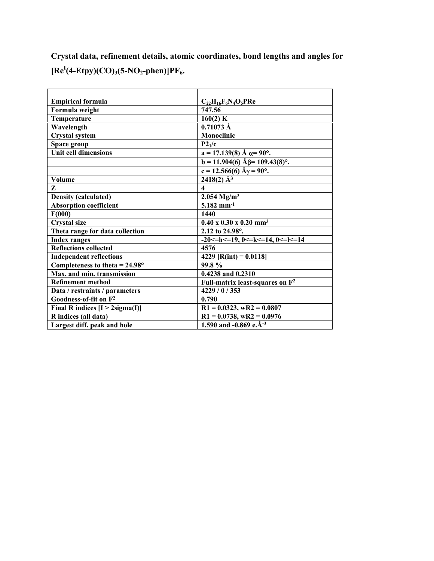**Crystal data, refinement details, atomic coordinates, bond lengths and angles for**   $[Re^I(4-Etpy)(CO)_3(5-NO_2-phen)]PF_6.$ 

| <b>Empirical formula</b>              | $C_{22}H_{16}F_6N_4O_5PRe$                            |
|---------------------------------------|-------------------------------------------------------|
| Formula weight                        | 747.56                                                |
| Temperature                           | 160(2) K                                              |
| Wavelength                            | $0.71073$ Å                                           |
| <b>Crystal system</b>                 | Monoclinic                                            |
| Space group                           | P2 <sub>1</sub> /c                                    |
| Unit cell dimensions                  | $a = 17.139(8)$ Å $\alpha = 90^{\circ}$ .             |
|                                       | $b = 11.904(6)$ $\rm \AA \beta = 109.43(8)^{\circ}$ . |
|                                       | $c = 12.566(6)$ $\AA$ $\gamma = 90^{\circ}$ .         |
| Volume                                | 2418(2) $\AA^3$                                       |
| Z                                     | $\overline{\mathbf{4}}$                               |
| <b>Density (calculated)</b>           | $2.054$ Mg/m <sup>3</sup>                             |
| <b>Absorption coefficient</b>         | $5.182$ mm <sup>-1</sup>                              |
| F(000)                                | 1440                                                  |
| <b>Crystal</b> size                   | $0.40 \times 0.30 \times 0.20$ mm <sup>3</sup>        |
| Theta range for data collection       | 2.12 to 24.98°.                                       |
| <b>Index ranges</b>                   | $-20$ <= h <= 19, 0 <= k <= 14, 0 <= k <= 14          |
| <b>Reflections collected</b>          | 4576                                                  |
| <b>Independent reflections</b>        | 4229 [R(int) = $0.0118$ ]                             |
| Completeness to theta = $24.98^\circ$ | 99.8%                                                 |
| Max. and min. transmission            | 0.4238 and 0.2310                                     |
| <b>Refinement method</b>              | Full-matrix least-squares on $F2$                     |
| Data / restraints / parameters        | 4229/0/353                                            |
| Goodness-of-fit on $F2$               | 0.790                                                 |
| Final R indices $[I > 2sigma(I)]$     | $R1 = 0.0323$ , wR2 = 0.0807                          |
| R indices (all data)                  | $R1 = 0.0738$ , wR2 = 0.0976                          |
| Largest diff. peak and hole           | 1.590 and -0.869 e. $\AA$ <sup>-3</sup>               |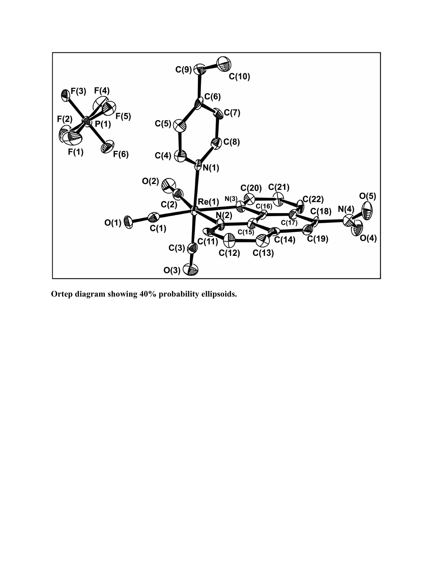

**Ortep diagram showing 40% probability ellipsoids.**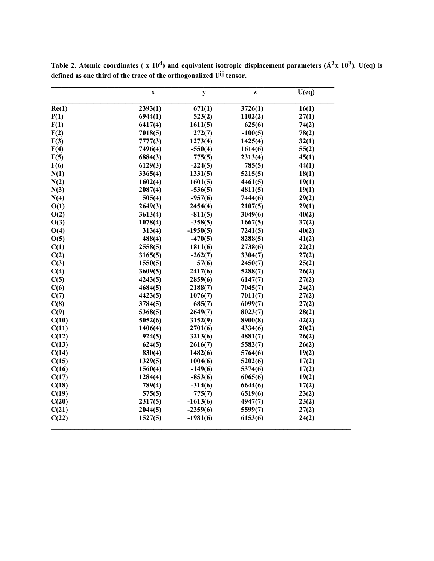|       | $\boldsymbol{\mathrm{X}}$ | ${\bf y}$  | $\mathbf{z}$ | U(eq) |
|-------|---------------------------|------------|--------------|-------|
| Re(1) | 2393(1)                   | 671(1)     | 3726(1)      | 16(1) |
| P(1)  | 6944(1)                   | 523(2)     | 1102(2)      | 27(1) |
| F(1)  | 6417(4)                   | 1611(5)    | 625(6)       | 74(2) |
| F(2)  | 7018(5)                   | 272(7)     | $-100(5)$    | 78(2) |
| F(3)  | 7777(3)                   | 1273(4)    | 1425(4)      | 32(1) |
| F(4)  | 7496(4)                   | $-550(4)$  | 1614(6)      | 55(2) |
| F(5)  | 6884(3)                   | 775(5)     | 2313(4)      | 45(1) |
| F(6)  | 6129(3)                   | $-224(5)$  | 785(5)       | 44(1) |
| N(1)  | 3365(4)                   | 1331(5)    | 5215(5)      | 18(1) |
| N(2)  | 1602(4)                   | 1601(5)    | 4461(5)      | 19(1) |
| N(3)  | 2087(4)                   | $-536(5)$  | 4811(5)      | 19(1) |
| N(4)  | 505(4)                    | $-957(6)$  | 7444(6)      | 29(2) |
| O(1)  | 2649(3)                   | 2454(4)    | 2107(5)      | 29(1) |
| O(2)  | 3613(4)                   | $-811(5)$  | 3049(6)      | 40(2) |
| O(3)  | 1078(4)                   | $-358(5)$  | 1667(5)      | 37(2) |
| O(4)  | 313(4)                    | $-1950(5)$ | 7241(5)      | 40(2) |
| O(5)  | 488(4)                    | $-470(5)$  | 8288(5)      | 41(2) |
| C(1)  | 2558(5)                   | 1811(6)    | 2738(6)      | 22(2) |
| C(2)  | 3165(5)                   | $-262(7)$  | 3304(7)      | 27(2) |
| C(3)  | 1550(5)                   | 57(6)      | 2450(7)      | 25(2) |
| C(4)  | 3609(5)                   | 2417(6)    | 5288(7)      | 26(2) |
| C(5)  | 4243(5)                   | 2859(6)    | 6147(7)      | 27(2) |
| C(6)  | 4684(5)                   | 2188(7)    | 7045(7)      | 24(2) |
| C(7)  | 4423(5)                   | 1076(7)    | 7011(7)      | 27(2) |
| C(8)  | 3784(5)                   | 685(7)     | 6099(7)      | 27(2) |
| C(9)  | 5368(5)                   | 2649(7)    | 8023(7)      | 28(2) |
| C(10) | 5052(6)                   | 3152(9)    | 8900(8)      | 42(2) |
| C(11) | 1406(4)                   | 2701(6)    | 4334(6)      | 20(2) |
| C(12) | 924(5)                    | 3213(6)    | 4881(7)      | 26(2) |
| C(13) | 624(5)                    | 2616(7)    | 5582(7)      | 26(2) |
| C(14) | 830(4)                    | 1482(6)    | 5764(6)      | 19(2) |
| C(15) | 1329(5)                   | 1004(6)    | 5202(6)      | 17(2) |
| C(16) | 1560(4)                   | $-149(6)$  | 5374(6)      | 17(2) |
| C(17) | 1284(4)                   | $-853(6)$  | 6065(6)      | 19(2) |
| C(18) | 789(4)                    | $-314(6)$  | 6644(6)      | 17(2) |
| C(19) | 575(5)                    | 775(7)     | 6519(6)      | 23(2) |
| C(20) | 2317(5)                   | $-1613(6)$ | 4947(7)      | 23(2) |
| C(21) | 2044(5)                   | $-2359(6)$ | 5599(7)      | 27(2) |
| C(22) | 1527(5)                   | $-1981(6)$ | 6153(6)      | 24(2) |

Table 2. Atomic coordinates ( $x 10^4$ ) and equivalent isotropic displacement parameters ( $\AA^2 x 10^3$ ). U(eq) is **defined as one third of the trace of the orthogonalized Uij tensor.**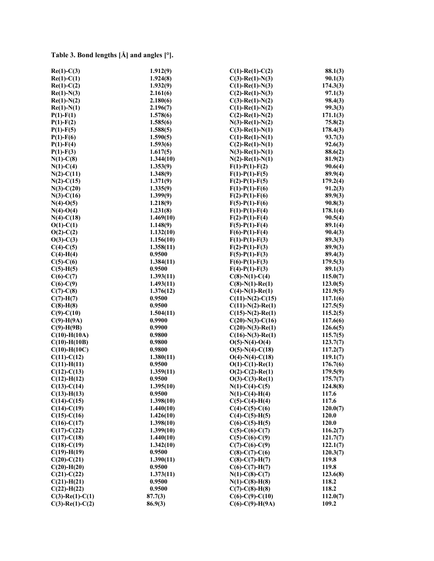## **Table 3. Bond lengths [Å] and angles [°].**

| $Re(1)-C(3)$       | 1.912(9)  | $C(1)$ -Re(1)-C(2)       | 88.1(3)  |
|--------------------|-----------|--------------------------|----------|
| $Re(1)-C(1)$       | 1.924(8)  | $C(3)$ -Re(1)-N(3)       | 90.1(3)  |
| $Re(1)-C(2)$       | 1.932(9)  | $C(1)$ -Re(1)-N(3)       | 174.3(3) |
| $Re(1) - N(3)$     | 2.161(6)  | $C(2)$ -Re(1)-N(3)       | 97.1(3)  |
| $Re(1) - N(2)$     | 2.180(6)  | $C(3)$ -Re(1)-N(2)       | 98.4(3)  |
| $Re(1) - N(1)$     | 2.196(7)  | $C(1)$ -Re(1)-N(2)       | 99.3(3)  |
| $P(1)$ - $F(1)$    | 1.578(6)  | $C(2)$ -Re(1)-N(2)       | 171.1(3) |
| $P(1) - F(2)$      | 1.585(6)  | $N(3)$ -Re(1)- $N(2)$    | 75.8(2)  |
| $P(1)$ -F(5)       | 1.588(5)  | $C(3)$ -Re(1)-N(1)       | 178.4(3) |
| $P(1)$ - $F(6)$    | 1.590(5)  | $C(1)$ -Re(1)-N(1)       | 93.7(3)  |
|                    |           |                          |          |
| $P(1) - F(4)$      | 1.593(6)  | $C(2)$ -Re(1)-N(1)       | 92.6(3)  |
| $P(1) - F(3)$      | 1.617(5)  | $N(3)$ -Re(1)- $N(1)$    | 88.6(2)  |
| $N(1)-C(8)$        | 1.344(10) | $N(2)$ -Re(1)- $N(1)$    | 81.9(2)  |
| $N(1)-C(4)$        | 1.353(9)  | $F(1)-P(1)-F(2)$         | 90.6(4)  |
| $N(2)$ -C(11)      | 1.348(9)  | $F(1)-P(1)-F(5)$         | 89.9(4)  |
| $N(2)$ -C(15)      | 1.371(9)  | $F(2)-P(1)-F(5)$         | 179.2(4) |
| $N(3)-C(20)$       | 1.335(9)  | $F(1) - P(1) - F(6)$     | 91.2(3)  |
| $N(3)-C(16)$       | 1.399(9)  | $F(2) - P(1) - F(6)$     | 89.9(3)  |
| $N(4)-O(5)$        | 1.218(9)  | $F(5)-P(1)-F(6)$         | 90.8(3)  |
| $N(4)-O(4)$        | 1.231(8)  | $F(1)$ -P(1)-F(4)        | 178.1(4) |
| $N(4)-C(18)$       | 1.469(10) | $F(2)-P(1)-F(4)$         | 90.5(4)  |
| $O(1)-C(1)$        | 1.148(9)  | $F(5)-P(1)-F(4)$         | 89.1(4)  |
| $O(2)$ -C(2)       | 1.132(10) | $F(6)-P(1)-F(4)$         | 90.4(3)  |
| $O(3)-C(3)$        | 1.156(10) | $F(1) - P(1) - F(3)$     | 89.3(3)  |
| $C(4)-C(5)$        | 1.358(11) | $F(2) - P(1) - F(3)$     | 89.9(3)  |
| $C(4)$ -H(4)       | 0.9500    | $F(5)-P(1)-F(3)$         | 89.4(3)  |
| $C(5)-C(6)$        | 1.384(11) | $F(6)-P(1)-F(3)$         | 179.5(3) |
|                    | 0.9500    |                          | 89.1(3)  |
| $C(5)-H(5)$        | 1.393(11) | $F(4) - P(1) - F(3)$     |          |
| $C(6)-C(7)$        |           | $C(8)-N(1)-C(4)$         | 115.0(7) |
| $C(6)-C(9)$        | 1.493(11) | $C(8)-N(1)-Re(1)$        | 123.0(5) |
| $C(7)$ - $C(8)$    | 1.376(12) | $C(4)-N(1)-Re(1)$        | 121.9(5) |
| $C(7)$ -H(7)       | 0.9500    | $C(11)-N(2)-C(15)$       | 117.1(6) |
| $C(8)-H(8)$        | 0.9500    | $C(11)-N(2)-Re(1)$       | 127.5(5) |
| $C(9)$ - $C(10)$   | 1.504(11) | $C(15)-N(2)-Re(1)$       | 115.2(5) |
| $C(9)-H(9A)$       | 0.9900    | $C(20)$ -N(3)-C(16)      | 117.6(6) |
| $C(9)-H(9B)$       | 0.9900    | $C(20)$ -N(3)-Re(1)      | 126.6(5) |
| $C(10)$ -H(10A)    | 0.9800    | $C(16)-N(3)-Re(1)$       | 115.7(5) |
| $C(10)$ -H(10B)    | 0.9800    | $O(5)$ -N(4)-O(4)        | 123.7(7) |
| $C(10)$ -H $(10C)$ | 0.9800    | $O(5)$ -N(4)-C(18)       | 117.2(7) |
| $C(11)-C(12)$      | 1.380(11) | $O(4)$ -N(4)-C(18)       | 119.1(7) |
| $C(11)$ -H $(11)$  | 0.9500    | $O(1)$ -C(1)-Re(1)       | 176.7(6) |
| $C(12)-C(13)$      | 1.359(11) | $O(2)$ -C(2)-Re(1)       | 179.5(9) |
| $C(12)$ -H $(12)$  | 0.9500    | $O(3)-C(3)-Re(1)$        | 175.7(7) |
| $C(13)-C(14)$      | 1.395(10) | $N(1)-C(4)-C(5)$         | 124.8(8) |
| $C(13)$ -H $(13)$  | 0.9500    | $N(1)-C(4)-H(4)$         | 117.6    |
| $C(14)-C(15)$      | 1.398(10) | $C(5)-C(4)-H(4)$         | 117.6    |
| $C(14)-C(19)$      | 1.440(10) | $C(4)-C(5)-C(6)$         | 120.0(7) |
| $C(15)-C(16)$      | 1.426(10) | $C(4)-C(5)-H(5)$         | 120.0    |
| $C(16)-C(17)$      | 1.398(10) | $C(6)-C(5)-H(5)$         | 120.0    |
|                    |           |                          |          |
| $C(17)-C(22)$      | 1.399(10) | $C(5)-C(6)-C(7)$         | 116.2(7) |
| $C(17) - C(18)$    | 1.440(10) | $C(5)-C(6)-C(9)$         | 121.7(7) |
| $C(18)-C(19)$      | 1.342(10) | $C(7)-C(6)-C(9)$         | 122.1(7) |
| $C(19) - H(19)$    | 0.9500    | $C(8)-C(7)-C(6)$         | 120.3(7) |
| $C(20)-C(21)$      | 1.390(11) | $C(8)-C(7)-H(7)$         | 119.8    |
| $C(20)$ -H $(20)$  | 0.9500    | $C(6)-C(7)-H(7)$         | 119.8    |
| $C(21)-C(22)$      | 1.373(11) | $N(1)-C(8)-C(7)$         | 123.6(8) |
| $C(21) - H(21)$    | 0.9500    | $N(1)$ -C(8)-H(8)        | 118.2    |
| $C(22)$ -H $(22)$  | 0.9500    | $C(7)$ - $C(8)$ - $H(8)$ | 118.2    |
| $C(3)$ -Re(1)-C(1) | 87.7(3)   | $C(6)-C(9)-C(10)$        | 112.0(7) |
| $C(3)$ -Re(1)-C(2) | 86.9(3)   | $C(6)-C(9)-H(9A)$        | 109.2    |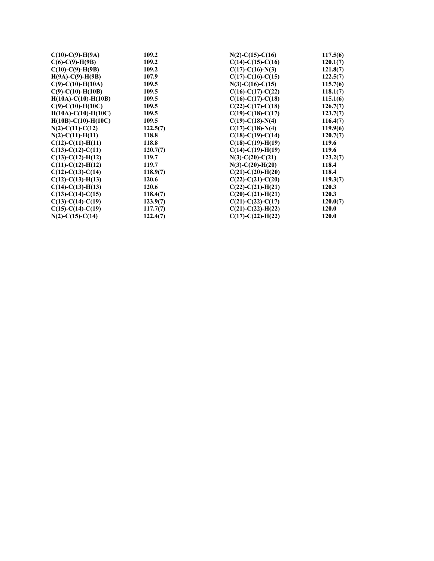| $C(10)-C(9)-H(9A)$        | 109.2    | $N(2)$ -C(15)-C(16)         | 117.5(6) |
|---------------------------|----------|-----------------------------|----------|
| $C(6)-C(9)-H(9B)$         | 109.2    | $C(14)-C(15)-C(16)$         | 120.1(7) |
| $C(10)-C(9)-H(9B)$        | 109.2    | $C(17)-C(16)-N(3)$          | 121.8(7) |
| $H(9A)-C(9)-H(9B)$        | 107.9    | $C(17) - C(16) - C(15)$     | 122.5(7) |
| $C(9)-C(10)-H(10A)$       | 109.5    | $N(3)-C(16)-C(15)$          | 115.7(6) |
| $C(9)-C(10)-H(10B)$       | 109.5    | $C(16)-C(17)-C(22)$         | 118.1(7) |
| $H(10A)-C(10)-H(10B)$     | 109.5    | $C(16)-C(17)-C(18)$         | 115.1(6) |
| $C(9)-C(10)-H(10C)$       | 109.5    | $C(22)$ -C(17)-C(18)        | 126.7(7) |
| $H(10A)-C(10)-H(10C)$     | 109.5    | $C(19)-C(18)-C(17)$         | 123.7(7) |
| $H(10B) - C(10) - H(10C)$ | 109.5    | $C(19)-C(18)-N(4)$          | 116.4(7) |
| $N(2)$ -C(11)-C(12)       | 122.5(7) | $C(17)-C(18)-N(4)$          | 119.9(6) |
| $N(2)$ -C(11)-H(11)       | 118.8    | $C(18)-C(19)-C(14)$         | 120.7(7) |
| $C(12)-C(11)-H(11)$       | 118.8    | $C(18)-C(19)-H(19)$         | 119.6    |
| $C(13)-C(12)-C(11)$       | 120.7(7) | $C(14)-C(19)-H(19)$         | 119.6    |
| $C(13)-C(12)-H(12)$       | 119.7    | $N(3)-C(20)-C(21)$          | 123.2(7) |
| $C(11)-C(12)-H(12)$       | 119.7    | $N(3)-C(20)-H(20)$          | 118.4    |
| $C(12)-C(13)-C(14)$       | 118.9(7) | $C(21)$ - $C(20)$ - $H(20)$ | 118.4    |
| $C(12)-C(13)-H(13)$       | 120.6    | $C(22)$ -C(21)-C(20)        | 119.3(7) |
| $C(14)-C(13)-H(13)$       | 120.6    | $C(22)$ -C(21)-H(21)        | 120.3    |
| $C(13)-C(14)-C(15)$       | 118.4(7) | $C(20)-C(21)-H(21)$         | 120.3    |
| $C(13)-C(14)-C(19)$       | 123.9(7) | $C(21)$ -C(22)-C(17)        | 120.0(7) |
| $C(15)-C(14)-C(19)$       | 117.7(7) | $C(21)$ - $C(22)$ -H $(22)$ | 120.0    |
| $N(2)$ -C(15)-C(14)       | 122.4(7) | $C(17)-C(22)-H(22)$         | 120.0    |
|                           |          |                             |          |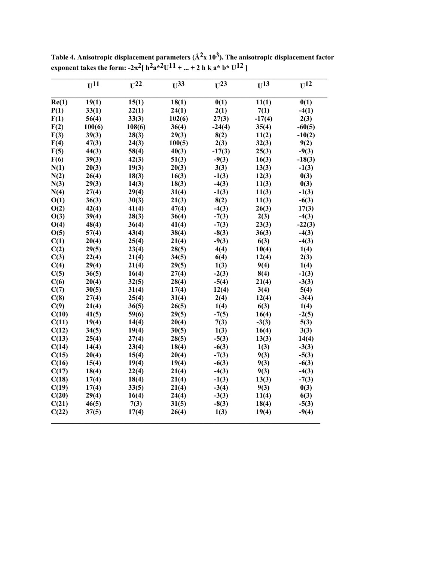|       | $U^{11}$ | $U^{22}$ | $U^{33}$ | $U^{23}$ | $U^{13}$ | $U^{12}$ |
|-------|----------|----------|----------|----------|----------|----------|
| Re(1) | 19(1)    | 15(1)    | 18(1)    | 0(1)     | 11(1)    | 0(1)     |
| P(1)  | 33(1)    | 22(1)    | 24(1)    | 2(1)     | 7(1)     | $-4(1)$  |
| F(1)  | 56(4)    | 33(3)    | 102(6)   | 27(3)    | $-17(4)$ | 2(3)     |
| F(2)  | 100(6)   | 108(6)   | 36(4)    | $-24(4)$ | 35(4)    | $-60(5)$ |
| F(3)  | 39(3)    | 28(3)    | 29(3)    | 8(2)     | 11(2)    | $-10(2)$ |
| F(4)  | 47(3)    | 24(3)    | 100(5)   | 2(3)     | 32(3)    | 9(2)     |
| F(5)  | 44(3)    | 58(4)    | 40(3)    | $-17(3)$ | 25(3)    | $-9(3)$  |
| F(6)  | 39(3)    | 42(3)    | 51(3)    | $-9(3)$  | 16(3)    | $-18(3)$ |
| N(1)  | 20(3)    | 19(3)    | 20(3)    | 3(3)     | 13(3)    | $-1(3)$  |
| N(2)  | 26(4)    | 18(3)    | 16(3)    | $-1(3)$  | 12(3)    | 0(3)     |
| N(3)  | 29(3)    | 14(3)    | 18(3)    | $-4(3)$  | 11(3)    | 0(3)     |
| N(4)  | 27(4)    | 29(4)    | 31(4)    | $-1(3)$  | 11(3)    | $-1(3)$  |
| O(1)  | 36(3)    | 30(3)    | 21(3)    | 8(2)     | 11(3)    | $-6(3)$  |
| O(2)  | 42(4)    | 41(4)    | 47(4)    | $-4(3)$  | 26(3)    | 17(3)    |
| O(3)  | 39(4)    | 28(3)    | 36(4)    | $-7(3)$  | 2(3)     | $-4(3)$  |
| O(4)  | 48(4)    | 36(4)    | 41(4)    | $-7(3)$  | 23(3)    | $-22(3)$ |
| O(5)  | 57(4)    | 43(4)    | 38(4)    | $-8(3)$  | 36(3)    | $-4(3)$  |
| C(1)  | 20(4)    | 25(4)    | 21(4)    | $-9(3)$  | 6(3)     | $-4(3)$  |
| C(2)  | 29(5)    | 23(4)    | 28(5)    | 4(4)     | 10(4)    | 1(4)     |
| C(3)  | 22(4)    | 21(4)    | 34(5)    | 6(4)     | 12(4)    | 2(3)     |
| C(4)  | 29(4)    | 21(4)    | 29(5)    | 1(3)     | 9(4)     | 1(4)     |
| C(5)  | 36(5)    | 16(4)    | 27(4)    | $-2(3)$  | 8(4)     | $-1(3)$  |
| C(6)  | 20(4)    | 32(5)    | 28(4)    | $-5(4)$  | 21(4)    | $-3(3)$  |
| C(7)  | 30(5)    | 31(4)    | 17(4)    | 12(4)    | 3(4)     | 5(4)     |
| C(8)  | 27(4)    | 25(4)    | 31(4)    | 2(4)     | 12(4)    | $-3(4)$  |
| C(9)  | 21(4)    | 36(5)    | 26(5)    | 1(4)     | 6(3)     | 1(4)     |
| C(10) | 41(5)    | 59(6)    | 29(5)    | $-7(5)$  | 16(4)    | $-2(5)$  |
| C(11) | 19(4)    | 14(4)    | 20(4)    | 7(3)     | $-3(3)$  | 5(3)     |
| C(12) | 34(5)    | 19(4)    | 30(5)    | 1(3)     | 16(4)    | 3(3)     |
| C(13) | 25(4)    | 27(4)    | 28(5)    | $-5(3)$  | 13(3)    | 14(4)    |
| C(14) | 14(4)    | 23(4)    | 18(4)    | $-6(3)$  | 1(3)     | $-3(3)$  |
| C(15) | 20(4)    | 15(4)    | 20(4)    | $-7(3)$  | 9(3)     | $-5(3)$  |
| C(16) | 15(4)    | 19(4)    | 19(4)    | $-6(3)$  | 9(3)     | $-6(3)$  |
| C(17) | 18(4)    | 22(4)    | 21(4)    | $-4(3)$  | 9(3)     | $-4(3)$  |
| C(18) | 17(4)    | 18(4)    | 21(4)    | $-1(3)$  | 13(3)    | $-7(3)$  |
| C(19) | 17(4)    | 33(5)    | 21(4)    | $-3(4)$  | 9(3)     | 0(3)     |
| C(20) | 29(4)    | 16(4)    | 24(4)    | $-3(3)$  | 11(4)    | 6(3)     |
| C(21) | 46(5)    | 7(3)     | 31(5)    | $-8(3)$  | 18(4)    | $-5(3)$  |
| C(22) | 37(5)    | 17(4)    | 26(4)    | 1(3)     | 19(4)    | $-9(4)$  |

Table 4. Anisotropic displacement parameters  $(\hat{A}^2x 10^3)$ . The anisotropic displacement factor **exponent takes the form: -2** $\pi^2$ **[**  $h^2a^{*2}U^{11} + ... + 2h$  **k**  $a^{*}b^{*}U^{12}$ ]